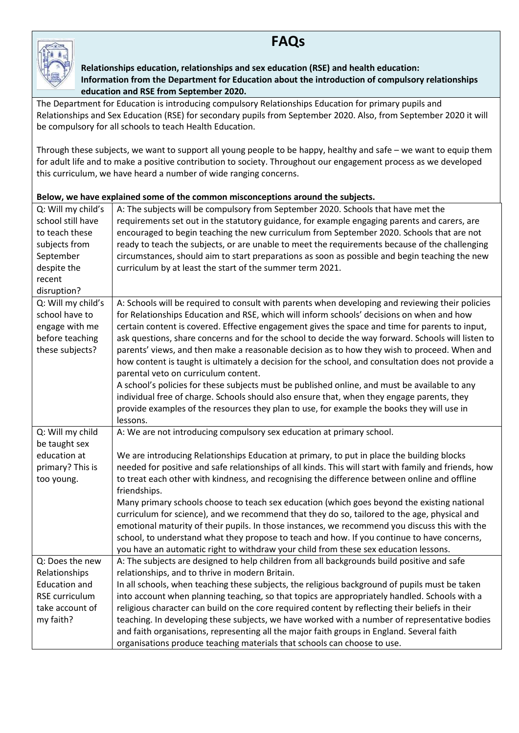## **FAQs**



**Relationships education, relationships and sex education (RSE) and health education: Information from the Department for Education about the introduction of compulsory relationships education and RSE from September 2020.**

The Department for Education is introducing compulsory Relationships Education for primary pupils and Relationships and Sex Education (RSE) for secondary pupils from September 2020. Also, from September 2020 it will be compulsory for all schools to teach Health Education.

Through these subjects, we want to support all young people to be happy, healthy and safe – we want to equip them for adult life and to make a positive contribution to society. Throughout our engagement process as we developed this curriculum, we have heard a number of wide ranging concerns.

## **Below, we have explained some of the common misconceptions around the subjects.**

| Q: Will my child's   | A: The subjects will be compulsory from September 2020. Schools that have met the                     |  |  |  |  |
|----------------------|-------------------------------------------------------------------------------------------------------|--|--|--|--|
| school still have    | requirements set out in the statutory guidance, for example engaging parents and carers, are          |  |  |  |  |
| to teach these       | encouraged to begin teaching the new curriculum from September 2020. Schools that are not             |  |  |  |  |
| subjects from        | ready to teach the subjects, or are unable to meet the requirements because of the challenging        |  |  |  |  |
| September            | circumstances, should aim to start preparations as soon as possible and begin teaching the new        |  |  |  |  |
| despite the          | curriculum by at least the start of the summer term 2021.                                             |  |  |  |  |
| recent               |                                                                                                       |  |  |  |  |
| disruption?          |                                                                                                       |  |  |  |  |
| Q: Will my child's   | A: Schools will be required to consult with parents when developing and reviewing their policies      |  |  |  |  |
| school have to       | for Relationships Education and RSE, which will inform schools' decisions on when and how             |  |  |  |  |
| engage with me       | certain content is covered. Effective engagement gives the space and time for parents to input,       |  |  |  |  |
| before teaching      | ask questions, share concerns and for the school to decide the way forward. Schools will listen to    |  |  |  |  |
| these subjects?      | parents' views, and then make a reasonable decision as to how they wish to proceed. When and          |  |  |  |  |
|                      | how content is taught is ultimately a decision for the school, and consultation does not provide a    |  |  |  |  |
|                      | parental veto on curriculum content.                                                                  |  |  |  |  |
|                      | A school's policies for these subjects must be published online, and must be available to any         |  |  |  |  |
|                      | individual free of charge. Schools should also ensure that, when they engage parents, they            |  |  |  |  |
|                      | provide examples of the resources they plan to use, for example the books they will use in            |  |  |  |  |
|                      | lessons.                                                                                              |  |  |  |  |
| Q: Will my child     | A: We are not introducing compulsory sex education at primary school.                                 |  |  |  |  |
| be taught sex        |                                                                                                       |  |  |  |  |
| education at         | We are introducing Relationships Education at primary, to put in place the building blocks            |  |  |  |  |
| primary? This is     | needed for positive and safe relationships of all kinds. This will start with family and friends, how |  |  |  |  |
| too young.           | to treat each other with kindness, and recognising the difference between online and offline          |  |  |  |  |
|                      | friendships.                                                                                          |  |  |  |  |
|                      | Many primary schools choose to teach sex education (which goes beyond the existing national           |  |  |  |  |
|                      | curriculum for science), and we recommend that they do so, tailored to the age, physical and          |  |  |  |  |
|                      | emotional maturity of their pupils. In those instances, we recommend you discuss this with the        |  |  |  |  |
|                      | school, to understand what they propose to teach and how. If you continue to have concerns,           |  |  |  |  |
|                      | you have an automatic right to withdraw your child from these sex education lessons.                  |  |  |  |  |
| Q: Does the new      | A: The subjects are designed to help children from all backgrounds build positive and safe            |  |  |  |  |
| Relationships        | relationships, and to thrive in modern Britain.                                                       |  |  |  |  |
| <b>Education and</b> | In all schools, when teaching these subjects, the religious background of pupils must be taken        |  |  |  |  |
| RSE curriculum       | into account when planning teaching, so that topics are appropriately handled. Schools with a         |  |  |  |  |
| take account of      | religious character can build on the core required content by reflecting their beliefs in their       |  |  |  |  |
| my faith?            | teaching. In developing these subjects, we have worked with a number of representative bodies         |  |  |  |  |
|                      | and faith organisations, representing all the major faith groups in England. Several faith            |  |  |  |  |
|                      | organisations produce teaching materials that schools can choose to use.                              |  |  |  |  |